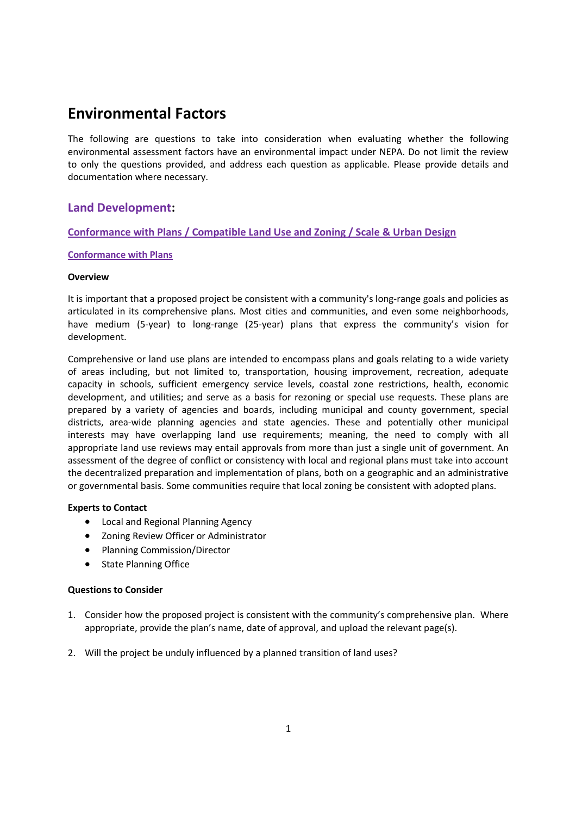# **Environmental Factors**

The following are questions to take into consideration when evaluating whether the following environmental assessment factors have an environmental impact under NEPA. Do not limit the review to only the questions provided, and address each question as applicable. Please provide details and documentation where necessary.

# **Land Development:**

# **Conformance with Plans / Compatible Land Use and Zoning / Scale & Urban Design**

# **Conformance with Plans**

# **Overview**

It is important that a proposed project be consistent with a community's long-range goals and policies as articulated in its comprehensive plans. Most cities and communities, and even some neighborhoods, have medium (5-year) to long-range (25-year) plans that express the community's vision for development.

Comprehensive or land use plans are intended to encompass plans and goals relating to a wide variety of areas including, but not limited to, transportation, housing improvement, recreation, adequate capacity in schools, sufficient emergency service levels, coastal zone restrictions, health, economic development, and utilities; and serve as a basis for rezoning or special use requests. These plans are prepared by a variety of agencies and boards, including municipal and county government, special districts, area-wide planning agencies and state agencies. These and potentially other municipal interests may have overlapping land use requirements; meaning, the need to comply with all appropriate land use reviews may entail approvals from more than just a single unit of government. An assessment of the degree of conflict or consistency with local and regional plans must take into account the decentralized preparation and implementation of plans, both on a geographic and an administrative or governmental basis. Some communities require that local zoning be consistent with adopted plans.

# **Experts to Contact**

- Local and Regional Planning Agency
- Zoning Review Officer or Administrator
- Planning Commission/Director
- State Planning Office

- 1. Consider how the proposed project is consistent with the community's comprehensive plan. Where appropriate, provide the plan's name, date of approval, and upload the relevant page(s).
- 2. Will the project be unduly influenced by a planned transition of land uses?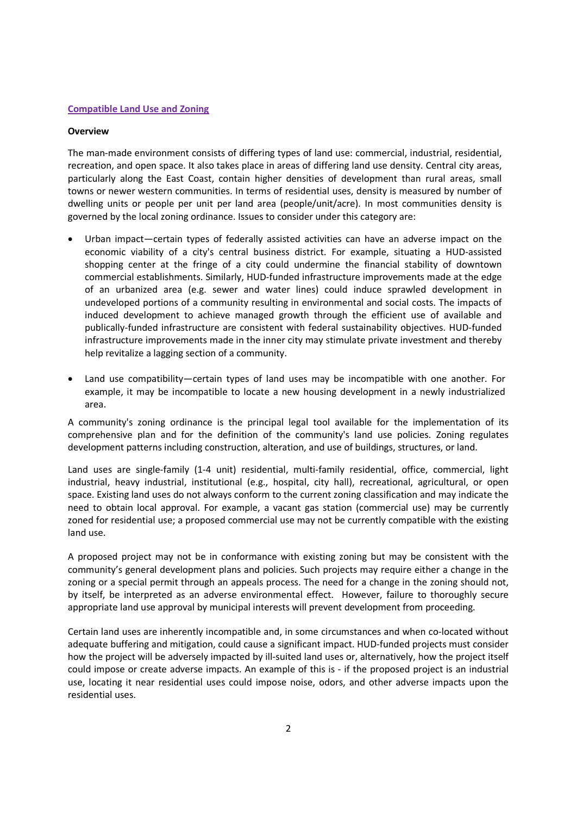### **Compatible Land Use and Zoning**

#### **Overview**

The man-made environment consists of differing types of land use: commercial, industrial, residential, recreation, and open space. It also takes place in areas of differing land use density. Central city areas, particularly along the East Coast, contain higher densities of development than rural areas, small towns or newer western communities. In terms of residential uses, density is measured by number of dwelling units or people per unit per land area (people/unit/acre). In most communities density is governed by the local zoning ordinance. Issues to consider under this category are:

- Urban impact—certain types of federally assisted activities can have an adverse impact on the economic viability of a city's central business district. For example, situating a HUD-assisted shopping center at the fringe of a city could undermine the financial stability of downtown commercial establishments. Similarly, HUD-funded infrastructure improvements made at the edge of an urbanized area (e.g. sewer and water lines) could induce sprawled development in undeveloped portions of a community resulting in environmental and social costs. The impacts of induced development to achieve managed growth through the efficient use of available and publically-funded infrastructure are consistent with federal sustainability objectives. HUD-funded infrastructure improvements made in the inner city may stimulate private investment and thereby help revitalize a lagging section of a community.
- Land use compatibility—certain types of land uses may be incompatible with one another. For example, it may be incompatible to locate a new housing development in a newly industrialized area.

A community's zoning ordinance is the principal legal tool available for the implementation of its comprehensive plan and for the definition of the community's land use policies. Zoning regulates development patterns including construction, alteration, and use of buildings, structures, or land.

Land uses are single-family (1-4 unit) residential, multi-family residential, office, commercial, light industrial, heavy industrial, institutional (e.g., hospital, city hall), recreational, agricultural, or open space. Existing land uses do not always conform to the current zoning classification and may indicate the need to obtain local approval. For example, a vacant gas station (commercial use) may be currently zoned for residential use; a proposed commercial use may not be currently compatible with the existing land use.

A proposed project may not be in conformance with existing zoning but may be consistent with the community's general development plans and policies. Such projects may require either a change in the zoning or a special permit through an appeals process. The need for a change in the zoning should not, by itself, be interpreted as an adverse environmental effect. However, failure to thoroughly secure appropriate land use approval by municipal interests will prevent development from proceeding.

Certain land uses are inherently incompatible and, in some circumstances and when co-located without adequate buffering and mitigation, could cause a significant impact. HUD-funded projects must consider how the project will be adversely impacted by ill-suited land uses or, alternatively, how the project itself could impose or create adverse impacts. An example of this is - if the proposed project is an industrial use, locating it near residential uses could impose noise, odors, and other adverse impacts upon the residential uses.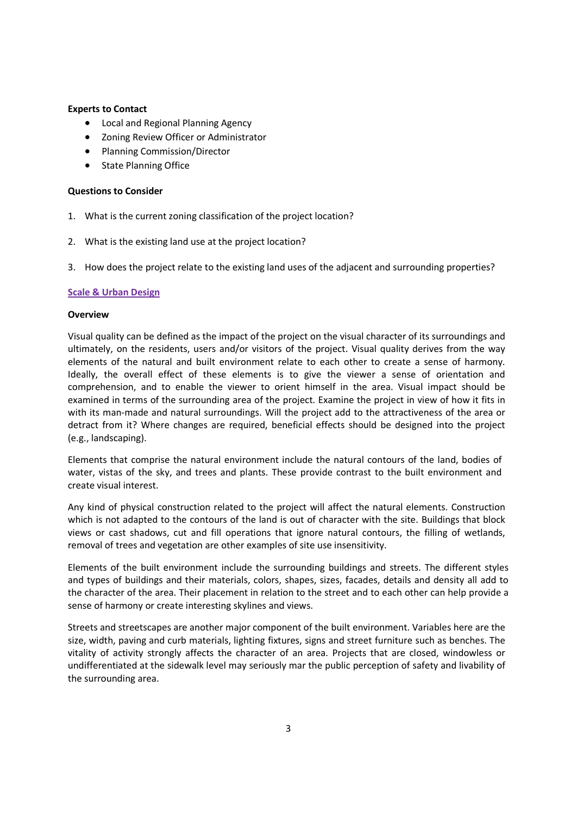# **Experts to Contact**

- Local and Regional Planning Agency
- Zoning Review Officer or Administrator
- Planning Commission/Director
- State Planning Office

# **Questions to Consider**

- 1. What is the current zoning classification of the project location?
- 2. What is the existing land use at the project location?
- 3. How does the project relate to the existing land uses of the adjacent and surrounding properties?

# **Scale & Urban Design**

# **Overview**

Visual quality can be defined as the impact of the project on the visual character of its surroundings and ultimately, on the residents, users and/or visitors of the project. Visual quality derives from the way elements of the natural and built environment relate to each other to create a sense of harmony. Ideally, the overall effect of these elements is to give the viewer a sense of orientation and comprehension, and to enable the viewer to orient himself in the area. Visual impact should be examined in terms of the surrounding area of the project. Examine the project in view of how it fits in with its man-made and natural surroundings. Will the project add to the attractiveness of the area or detract from it? Where changes are required, beneficial effects should be designed into the project (e.g., landscaping).

Elements that comprise the natural environment include the natural contours of the land, bodies of water, vistas of the sky, and trees and plants. These provide contrast to the built environment and create visual interest.

Any kind of physical construction related to the project will affect the natural elements. Construction which is not adapted to the contours of the land is out of character with the site. Buildings that block views or cast shadows, cut and fill operations that ignore natural contours, the filling of wetlands, removal of trees and vegetation are other examples of site use insensitivity.

Elements of the built environment include the surrounding buildings and streets. The different styles and types of buildings and their materials, colors, shapes, sizes, facades, details and density all add to the character of the area. Their placement in relation to the street and to each other can help provide a sense of harmony or create interesting skylines and views.

Streets and streetscapes are another major component of the built environment. Variables here are the size, width, paving and curb materials, lighting fixtures, signs and street furniture such as benches. The vitality of activity strongly affects the character of an area. Projects that are closed, windowless or undifferentiated at the sidewalk level may seriously mar the public perception of safety and livability of the surrounding area.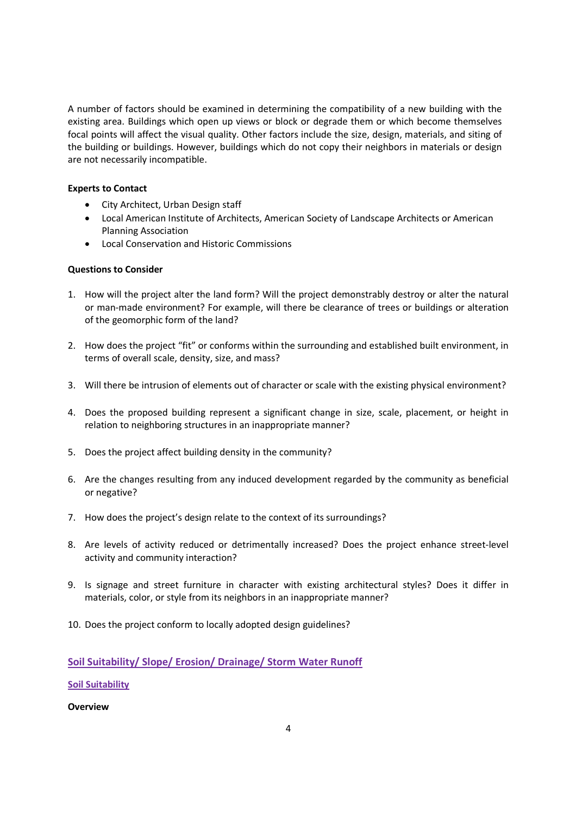A number of factors should be examined in determining the compatibility of a new building with the existing area. Buildings which open up views or block or degrade them or which become themselves focal points will affect the visual quality. Other factors include the size, design, materials, and siting of the building or buildings. However, buildings which do not copy their neighbors in materials or design are not necessarily incompatible.

# **Experts to Contact**

- City Architect, Urban Design staff
- Local American Institute of Architects, American Society of Landscape Architects or American Planning Association
- Local Conservation and Historic Commissions

# **Questions to Consider**

- 1. How will the project alter the land form? Will the project demonstrably destroy or alter the natural or man-made environment? For example, will there be clearance of trees or buildings or alteration of the geomorphic form of the land?
- 2. How does the project "fit" or conforms within the surrounding and established built environment, in terms of overall scale, density, size, and mass?
- 3. Will there be intrusion of elements out of character or scale with the existing physical environment?
- 4. Does the proposed building represent a significant change in size, scale, placement, or height in relation to neighboring structures in an inappropriate manner?
- 5. Does the project affect building density in the community?
- 6. Are the changes resulting from any induced development regarded by the community as beneficial or negative?
- 7. How does the project's design relate to the context of its surroundings?
- 8. Are levels of activity reduced or detrimentally increased? Does the project enhance street-level activity and community interaction?
- 9. Is signage and street furniture in character with existing architectural styles? Does it differ in materials, color, or style from its neighbors in an inappropriate manner?
- 10. Does the project conform to locally adopted design guidelines?

# **Soil Suitability/ Slope/ Erosion/ Drainage/ Storm Water Runoff**

**Soil Suitability**

**Overview**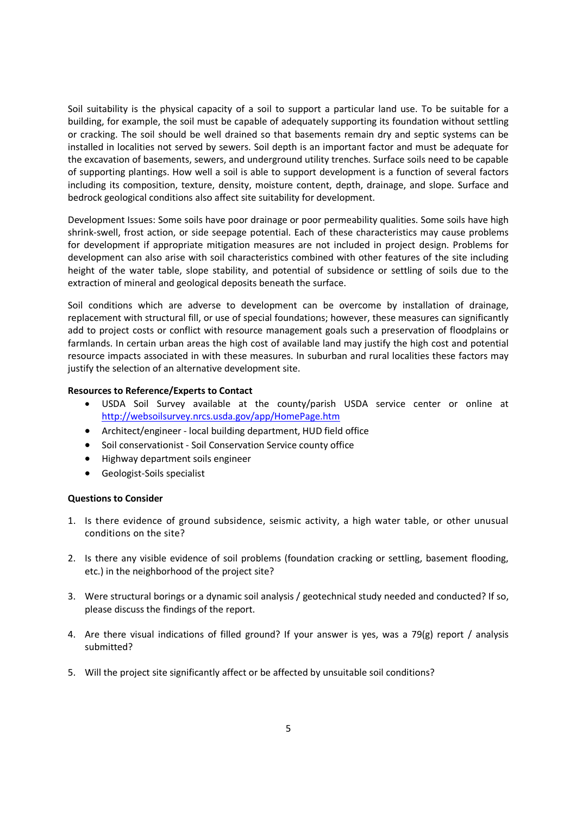Soil suitability is the physical capacity of a soil to support a particular land use. To be suitable for a building, for example, the soil must be capable of adequately supporting its foundation without settling or cracking. The soil should be well drained so that basements remain dry and septic systems can be installed in localities not served by sewers. Soil depth is an important factor and must be adequate for the excavation of basements, sewers, and underground utility trenches. Surface soils need to be capable of supporting plantings. How well a soil is able to support development is a function of several factors including its composition, texture, density, moisture content, depth, drainage, and slope. Surface and bedrock geological conditions also affect site suitability for development.

Development Issues: Some soils have poor drainage or poor permeability qualities. Some soils have high shrink-swell, frost action, or side seepage potential. Each of these characteristics may cause problems for development if appropriate mitigation measures are not included in project design. Problems for development can also arise with soil characteristics combined with other features of the site including height of the water table, slope stability, and potential of subsidence or settling of soils due to the extraction of mineral and geological deposits beneath the surface.

Soil conditions which are adverse to development can be overcome by installation of drainage, replacement with structural fill, or use of special foundations; however, these measures can significantly add to project costs or conflict with resource management goals such a preservation of floodplains or farmlands. In certain urban areas the high cost of available land may justify the high cost and potential resource impacts associated in with these measures. In suburban and rural localities these factors may justify the selection of an alternative development site.

# **Resources to Reference/Experts to Contact**

- USDA Soil Survey available at the county/parish USDA service center or online at http://websoilsurvey.nrcs.usda.gov/app/HomePage.htm
- Architect/engineer local building department, HUD field office
- Soil conservationist Soil Conservation Service county office
- Highway department soils engineer
- Geologist-Soils specialist

- 1. Is there evidence of ground subsidence, seismic activity, a high water table, or other unusual conditions on the site?
- 2. Is there any visible evidence of soil problems (foundation cracking or settling, basement flooding, etc.) in the neighborhood of the project site?
- 3. Were structural borings or a dynamic soil analysis / geotechnical study needed and conducted? If so, please discuss the findings of the report.
- 4. Are there visual indications of filled ground? If your answer is yes, was a 79(g) report / analysis submitted?
- 5. Will the project site significantly affect or be affected by unsuitable soil conditions?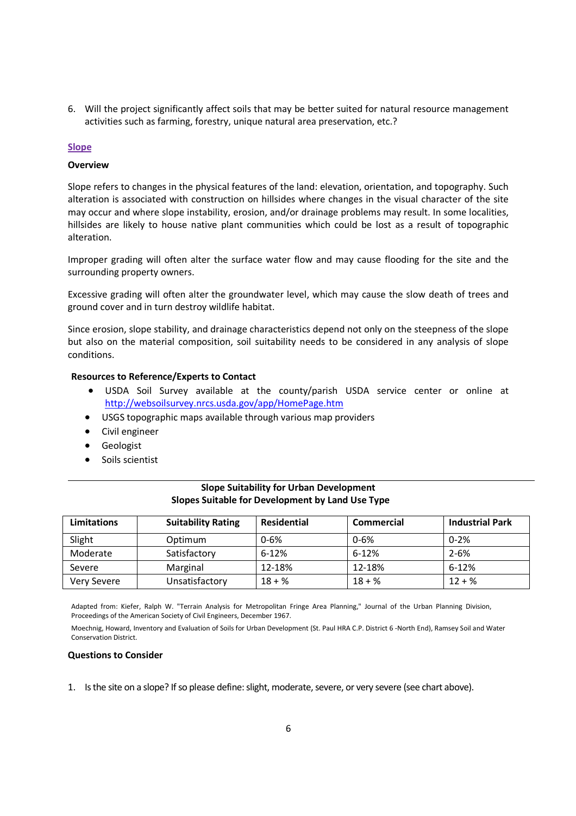6. Will the project significantly affect soils that may be better suited for natural resource management activities such as farming, forestry, unique natural area preservation, etc.?

# **Slope**

# **Overview**

Slope refers to changes in the physical features of the land: elevation, orientation, and topography. Such alteration is associated with construction on hillsides where changes in the visual character of the site may occur and where slope instability, erosion, and/or drainage problems may result. In some localities, hillsides are likely to house native plant communities which could be lost as a result of topographic alteration.

Improper grading will often alter the surface water flow and may cause flooding for the site and the surrounding property owners.

Excessive grading will often alter the groundwater level, which may cause the slow death of trees and ground cover and in turn destroy wildlife habitat.

Since erosion, slope stability, and drainage characteristics depend not only on the steepness of the slope but also on the material composition, soil suitability needs to be considered in any analysis of slope conditions.

# **Resources to Reference/Experts to Contact**

- USDA Soil Survey available at the county/parish USDA service center or online at http://websoilsurvey.nrcs.usda.gov/app/HomePage.htm
- USGS topographic maps available through various map providers
- Civil engineer
- **•** Geologist
- Soils scientist

| <b>Limitations</b> | <b>Suitability Rating</b> | <b>Residential</b> | <b>Commercial</b> | <b>Industrial Park</b> |
|--------------------|---------------------------|--------------------|-------------------|------------------------|
| Slight             | Optimum                   | $0 - 6%$           | $0 - 6%$          | $0 - 2%$               |
| Moderate           | Satisfactory              | $6 - 12%$          | $6 - 12%$         | $2 - 6%$               |
| Severe             | Marginal                  | 12-18%             | 12-18%            | $6 - 12%$              |
| Very Severe        | Unsatisfactory            | $18 + \%$          | $18 + \%$         | $12 + \%$              |

# **Slope Suitability for Urban Development Slopes Suitable for Development by Land Use Type**

Adapted from: Kiefer, Ralph W. "Terrain Analysis for Metropolitan Fringe Area Planning," Journal of the Urban Planning Division, Proceedings of the American Society of Civil Engineers, December 1967.

Moechnig, Howard, Inventory and Evaluation of Soils for Urban Development (St. Paul HRA C.P. District 6 -North End), Ramsey Soil and Water Conservation District.

# **Questions to Consider**

1. Is the site on a slope? If so please define: slight, moderate, severe, or very severe (see chart above).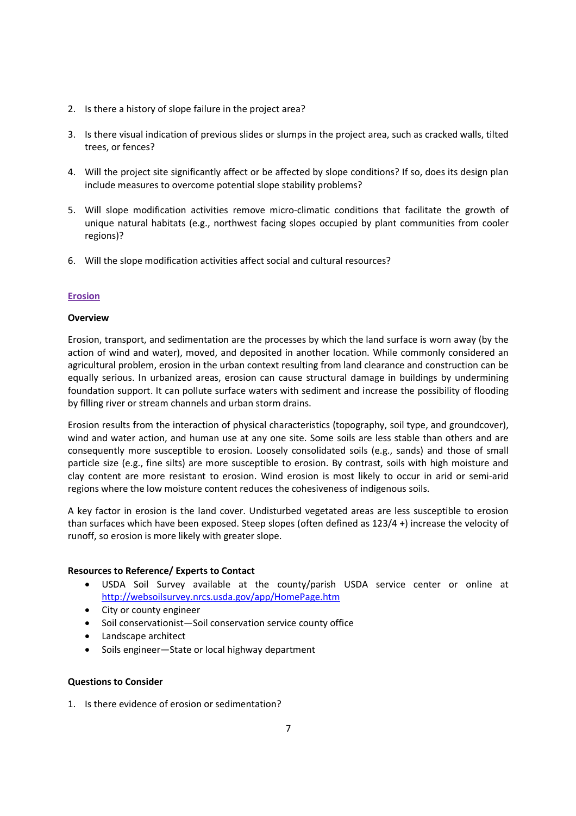- 2. Is there a history of slope failure in the project area?
- 3. Is there visual indication of previous slides or slumps in the project area, such as cracked walls, tilted trees, or fences?
- 4. Will the project site significantly affect or be affected by slope conditions? If so, does its design plan include measures to overcome potential slope stability problems?
- 5. Will slope modification activities remove micro-climatic conditions that facilitate the growth of unique natural habitats (e.g., northwest facing slopes occupied by plant communities from cooler regions)?
- 6. Will the slope modification activities affect social and cultural resources?

# **Erosion**

# **Overview**

Erosion, transport, and sedimentation are the processes by which the land surface is worn away (by the action of wind and water), moved, and deposited in another location. While commonly considered an agricultural problem, erosion in the urban context resulting from land clearance and construction can be equally serious. In urbanized areas, erosion can cause structural damage in buildings by undermining foundation support. It can pollute surface waters with sediment and increase the possibility of flooding by filling river or stream channels and urban storm drains.

Erosion results from the interaction of physical characteristics (topography, soil type, and groundcover), wind and water action, and human use at any one site. Some soils are less stable than others and are consequently more susceptible to erosion. Loosely consolidated soils (e.g., sands) and those of small particle size (e.g., fine silts) are more susceptible to erosion. By contrast, soils with high moisture and clay content are more resistant to erosion. Wind erosion is most likely to occur in arid or semi-arid regions where the low moisture content reduces the cohesiveness of indigenous soils.

A key factor in erosion is the land cover. Undisturbed vegetated areas are less susceptible to erosion than surfaces which have been exposed. Steep slopes (often defined as 123/4 +) increase the velocity of runoff, so erosion is more likely with greater slope.

# **Resources to Reference/ Experts to Contact**

- USDA Soil Survey available at the county/parish USDA service center or online at http://websoilsurvey.nrcs.usda.gov/app/HomePage.htm
- City or county engineer
- Soil conservationist—Soil conservation service county office
- Landscape architect
- Soils engineer-State or local highway department

# **Questions to Consider**

1. Is there evidence of erosion or sedimentation?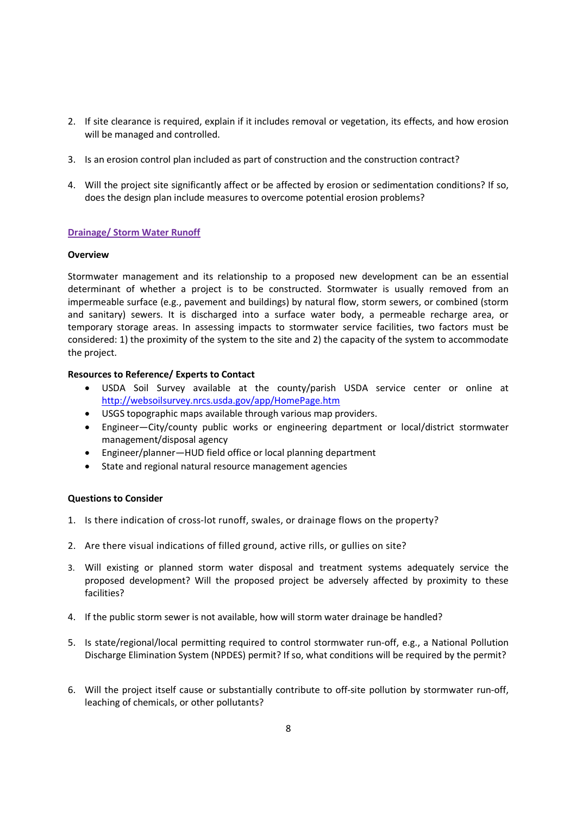- 2. If site clearance is required, explain if it includes removal or vegetation, its effects, and how erosion will be managed and controlled.
- 3. Is an erosion control plan included as part of construction and the construction contract?
- 4. Will the project site significantly affect or be affected by erosion or sedimentation conditions? If so, does the design plan include measures to overcome potential erosion problems?

# **Drainage/ Storm Water Runoff**

# **Overview**

Stormwater management and its relationship to a proposed new development can be an essential determinant of whether a project is to be constructed. Stormwater is usually removed from an impermeable surface (e.g., pavement and buildings) by natural flow, storm sewers, or combined (storm and sanitary) sewers. It is discharged into a surface water body, a permeable recharge area, or temporary storage areas. In assessing impacts to stormwater service facilities, two factors must be considered: 1) the proximity of the system to the site and 2) the capacity of the system to accommodate the project.

# **Resources to Reference/ Experts to Contact**

- USDA Soil Survey available at the county/parish USDA service center or online at http://websoilsurvey.nrcs.usda.gov/app/HomePage.htm
- USGS topographic maps available through various map providers.
- Engineer—City/county public works or engineering department or local/district stormwater management/disposal agency
- Engineer/planner—HUD field office or local planning department
- State and regional natural resource management agencies

- 1. Is there indication of cross-lot runoff, swales, or drainage flows on the property?
- 2. Are there visual indications of filled ground, active rills, or gullies on site?
- 3. Will existing or planned storm water disposal and treatment systems adequately service the proposed development? Will the proposed project be adversely affected by proximity to these facilities?
- 4. If the public storm sewer is not available, how will storm water drainage be handled?
- 5. Is state/regional/local permitting required to control stormwater run-off, e.g., a National Pollution Discharge Elimination System (NPDES) permit? If so, what conditions will be required by the permit?
- 6. Will the project itself cause or substantially contribute to off-site pollution by stormwater run-off, leaching of chemicals, or other pollutants?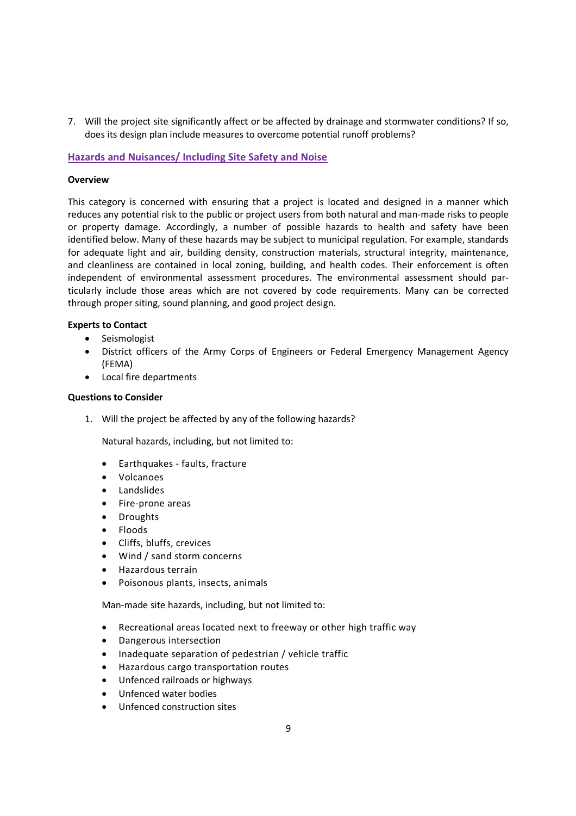7. Will the project site significantly affect or be affected by drainage and stormwater conditions? If so, does its design plan include measures to overcome potential runoff problems?

# **Hazards and Nuisances/ Including Site Safety and Noise**

# **Overview**

This category is concerned with ensuring that a project is located and designed in a manner which reduces any potential risk to the public or project users from both natural and man-made risks to people or property damage. Accordingly, a number of possible hazards to health and safety have been identified below. Many of these hazards may be subject to municipal regulation. For example, standards for adequate light and air, building density, construction materials, structural integrity, maintenance, and cleanliness are contained in local zoning, building, and health codes. Their enforcement is often independent of environmental assessment procedures. The environmental assessment should particularly include those areas which are not covered by code requirements. Many can be corrected through proper siting, sound planning, and good project design.

# **Experts to Contact**

- Seismologist
- District officers of the Army Corps of Engineers or Federal Emergency Management Agency (FEMA)
- Local fire departments

# **Questions to Consider**

1. Will the project be affected by any of the following hazards?

Natural hazards, including, but not limited to:

- Earthquakes faults, fracture
- Volcanoes
- Landslides
- Fire-prone areas
- Droughts
- Floods
- Cliffs, bluffs, crevices
- Wind / sand storm concerns
- Hazardous terrain
- Poisonous plants, insects, animals

Man-made site hazards, including, but not limited to:

- Recreational areas located next to freeway or other high traffic way
- Dangerous intersection
- Inadequate separation of pedestrian / vehicle traffic
- Hazardous cargo transportation routes
- Unfenced railroads or highways
- Unfenced water bodies
- Unfenced construction sites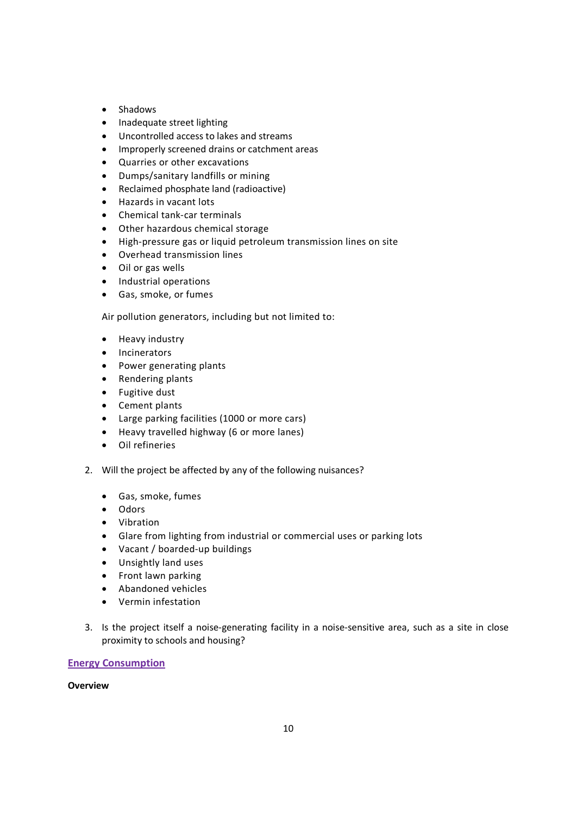- Shadows
- Inadequate street lighting
- Uncontrolled access to lakes and streams
- Improperly screened drains or catchment areas
- Quarries or other excavations
- Dumps/sanitary landfills or mining
- Reclaimed phosphate land (radioactive)
- Hazards in vacant lots
- Chemical tank-car terminals
- Other hazardous chemical storage
- High-pressure gas or liquid petroleum transmission lines on site
- Overhead transmission lines
- Oil or gas wells
- Industrial operations
- Gas, smoke, or fumes

Air pollution generators, including but not limited to:

- Heavy industry
- Incinerators
- Power generating plants
- Rendering plants
- Fugitive dust
- Cement plants
- Large parking facilities (1000 or more cars)
- Heavy travelled highway (6 or more lanes)
- Oil refineries
- 2. Will the project be affected by any of the following nuisances?
	- Gas, smoke, fumes
	- Odors
	- Vibration
	- Glare from lighting from industrial or commercial uses or parking lots
	- Vacant / boarded-up buildings
	- Unsightly land uses
	- Front lawn parking
	- Abandoned vehicles
	- Vermin infestation
- 3. Is the project itself a noise-generating facility in a noise-sensitive area, such as a site in close proximity to schools and housing?

# **Energy Consumption**

# **Overview**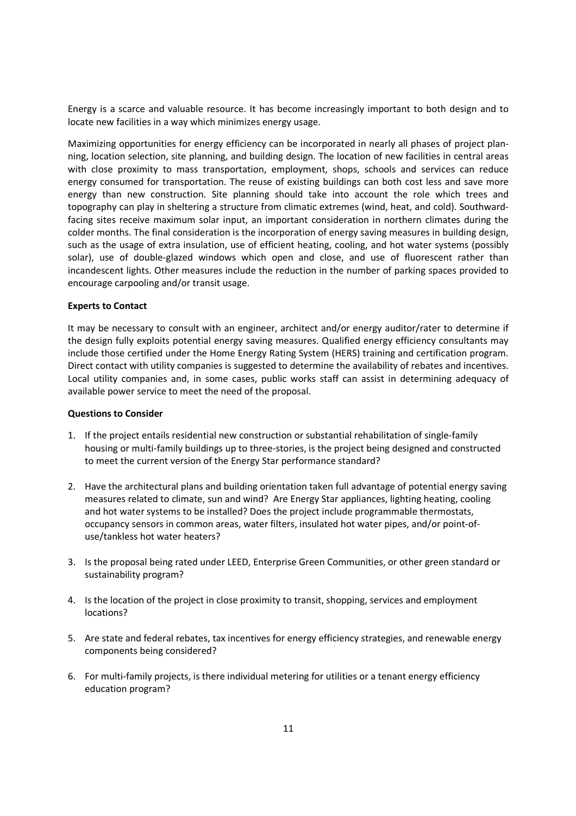Energy is a scarce and valuable resource. It has become increasingly important to both design and to locate new facilities in a way which minimizes energy usage.

Maximizing opportunities for energy efficiency can be incorporated in nearly all phases of project planning, location selection, site planning, and building design. The location of new facilities in central areas with close proximity to mass transportation, employment, shops, schools and services can reduce energy consumed for transportation. The reuse of existing buildings can both cost less and save more energy than new construction. Site planning should take into account the role which trees and topography can play in sheltering a structure from climatic extremes (wind, heat, and cold). Southwardfacing sites receive maximum solar input, an important consideration in northern climates during the colder months. The final consideration is the incorporation of energy saving measures in building design, such as the usage of extra insulation, use of efficient heating, cooling, and hot water systems (possibly solar), use of double-glazed windows which open and close, and use of fluorescent rather than incandescent lights. Other measures include the reduction in the number of parking spaces provided to encourage carpooling and/or transit usage.

### **Experts to Contact**

It may be necessary to consult with an engineer, architect and/or energy auditor/rater to determine if the design fully exploits potential energy saving measures. Qualified energy efficiency consultants may include those certified under the Home Energy Rating System (HERS) training and certification program. Direct contact with utility companies is suggested to determine the availability of rebates and incentives. Local utility companies and, in some cases, public works staff can assist in determining adequacy of available power service to meet the need of the proposal.

- 1. If the project entails residential new construction or substantial rehabilitation of single-family housing or multi-family buildings up to three-stories, is the project being designed and constructed to meet the current version of the Energy Star performance standard?
- 2. Have the architectural plans and building orientation taken full advantage of potential energy saving measures related to climate, sun and wind? Are Energy Star appliances, lighting heating, cooling and hot water systems to be installed? Does the project include programmable thermostats, occupancy sensors in common areas, water filters, insulated hot water pipes, and/or point-ofuse/tankless hot water heaters?
- 3. Is the proposal being rated under LEED, Enterprise Green Communities, or other green standard or sustainability program?
- 4. Is the location of the project in close proximity to transit, shopping, services and employment locations?
- 5. Are state and federal rebates, tax incentives for energy efficiency strategies, and renewable energy components being considered?
- 6. For multi-family projects, is there individual metering for utilities or a tenant energy efficiency education program?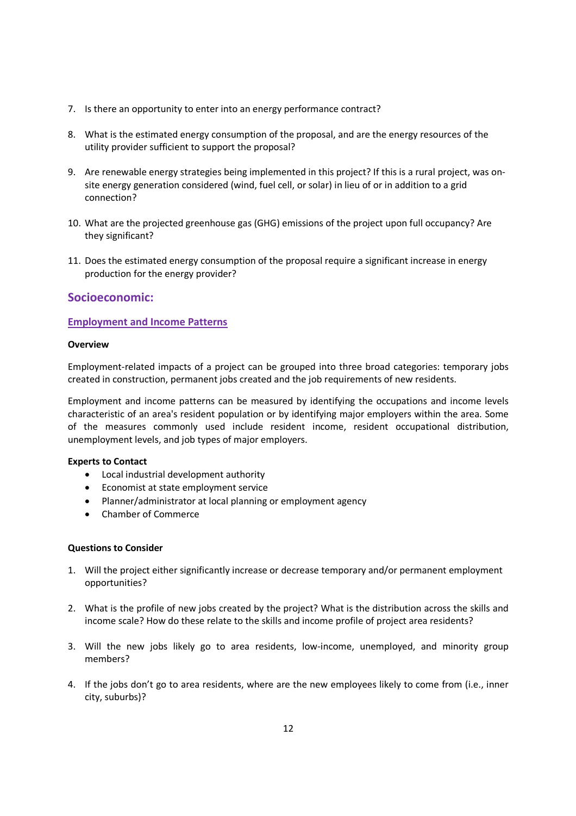- 7. Is there an opportunity to enter into an energy performance contract?
- 8. What is the estimated energy consumption of the proposal, and are the energy resources of the utility provider sufficient to support the proposal?
- 9. Are renewable energy strategies being implemented in this project? If this is a rural project, was onsite energy generation considered (wind, fuel cell, or solar) in lieu of or in addition to a grid connection?
- 10. What are the projected greenhouse gas (GHG) emissions of the project upon full occupancy? Are they significant?
- 11. Does the estimated energy consumption of the proposal require a significant increase in energy production for the energy provider?

# **Socioeconomic:**

# **Employment and Income Patterns**

# **Overview**

Employment-related impacts of a project can be grouped into three broad categories: temporary jobs created in construction, permanent jobs created and the job requirements of new residents.

Employment and income patterns can be measured by identifying the occupations and income levels characteristic of an area's resident population or by identifying major employers within the area. Some of the measures commonly used include resident income, resident occupational distribution, unemployment levels, and job types of major employers.

# **Experts to Contact**

- Local industrial development authority
- Economist at state employment service
- Planner/administrator at local planning or employment agency
- Chamber of Commerce

- 1. Will the project either significantly increase or decrease temporary and/or permanent employment opportunities?
- 2. What is the profile of new jobs created by the project? What is the distribution across the skills and income scale? How do these relate to the skills and income profile of project area residents?
- 3. Will the new jobs likely go to area residents, low-income, unemployed, and minority group members?
- 4. If the jobs don't go to area residents, where are the new employees likely to come from (i.e., inner city, suburbs)?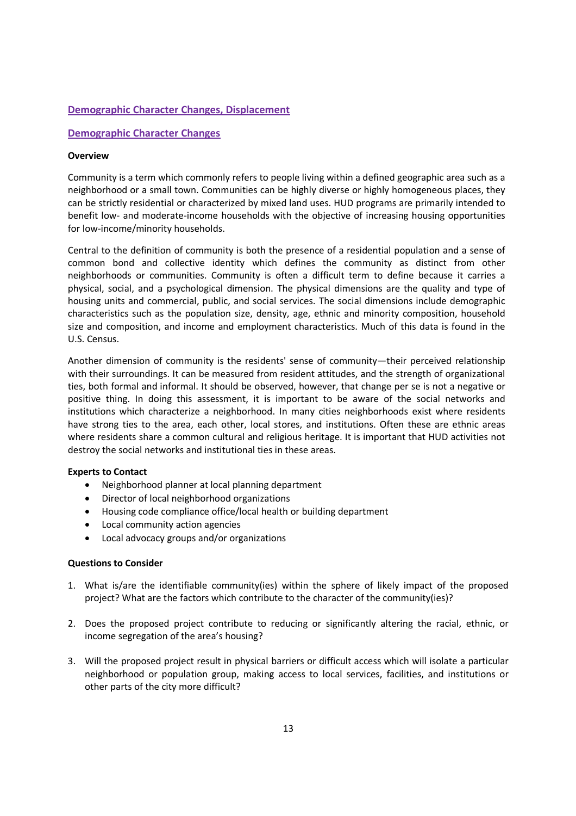# **Demographic Character Changes, Displacement**

# **Demographic Character Changes**

### **Overview**

Community is a term which commonly refers to people living within a defined geographic area such as a neighborhood or a small town. Communities can be highly diverse or highly homogeneous places, they can be strictly residential or characterized by mixed land uses. HUD programs are primarily intended to benefit low- and moderate-income households with the objective of increasing housing opportunities for low-income/minority households.

Central to the definition of community is both the presence of a residential population and a sense of common bond and collective identity which defines the community as distinct from other neighborhoods or communities. Community is often a difficult term to define because it carries a physical, social, and a psychological dimension. The physical dimensions are the quality and type of housing units and commercial, public, and social services. The social dimensions include demographic characteristics such as the population size, density, age, ethnic and minority composition, household size and composition, and income and employment characteristics. Much of this data is found in the U.S. Census.

Another dimension of community is the residents' sense of community—their perceived relationship with their surroundings. It can be measured from resident attitudes, and the strength of organizational ties, both formal and informal. It should be observed, however, that change per se is not a negative or positive thing. In doing this assessment, it is important to be aware of the social networks and institutions which characterize a neighborhood. In many cities neighborhoods exist where residents have strong ties to the area, each other, local stores, and institutions. Often these are ethnic areas where residents share a common cultural and religious heritage. It is important that HUD activities not destroy the social networks and institutional ties in these areas.

# **Experts to Contact**

- Neighborhood planner at local planning department
- Director of local neighborhood organizations
- Housing code compliance office/local health or building department
- Local community action agencies
- Local advocacy groups and/or organizations

- 1. What is/are the identifiable community(ies) within the sphere of likely impact of the proposed project? What are the factors which contribute to the character of the community(ies)?
- 2. Does the proposed project contribute to reducing or significantly altering the racial, ethnic, or income segregation of the area's housing?
- 3. Will the proposed project result in physical barriers or difficult access which will isolate a particular neighborhood or population group, making access to local services, facilities, and institutions or other parts of the city more difficult?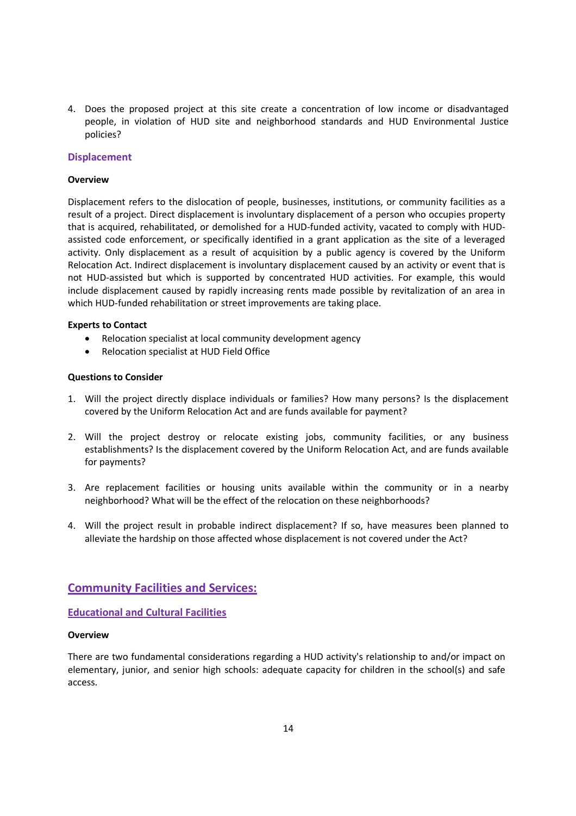4. Does the proposed project at this site create a concentration of low income or disadvantaged people, in violation of HUD site and neighborhood standards and HUD Environmental Justice policies?

### **Displacement**

### **Overview**

Displacement refers to the dislocation of people, businesses, institutions, or community facilities as a result of a project. Direct displacement is involuntary displacement of a person who occupies property that is acquired, rehabilitated, or demolished for a HUD-funded activity, vacated to comply with HUDassisted code enforcement, or specifically identified in a grant application as the site of a leveraged activity. Only displacement as a result of acquisition by a public agency is covered by the Uniform Relocation Act. Indirect displacement is involuntary displacement caused by an activity or event that is not HUD-assisted but which is supported by concentrated HUD activities. For example, this would include displacement caused by rapidly increasing rents made possible by revitalization of an area in which HUD-funded rehabilitation or street improvements are taking place.

### **Experts to Contact**

- Relocation specialist at local community development agency
- Relocation specialist at HUD Field Office

### **Questions to Consider**

- 1. Will the project directly displace individuals or families? How many persons? Is the displacement covered by the Uniform Relocation Act and are funds available for payment?
- 2. Will the project destroy or relocate existing jobs, community facilities, or any business establishments? Is the displacement covered by the Uniform Relocation Act, and are funds available for payments?
- 3. Are replacement facilities or housing units available within the community or in a nearby neighborhood? What will be the effect of the relocation on these neighborhoods?
- 4. Will the project result in probable indirect displacement? If so, have measures been planned to alleviate the hardship on those affected whose displacement is not covered under the Act?

# **Community Facilities and Services:**

**Educational and Cultural Facilities**

#### **Overview**

There are two fundamental considerations regarding a HUD activity's relationship to and/or impact on elementary, junior, and senior high schools: adequate capacity for children in the school(s) and safe access.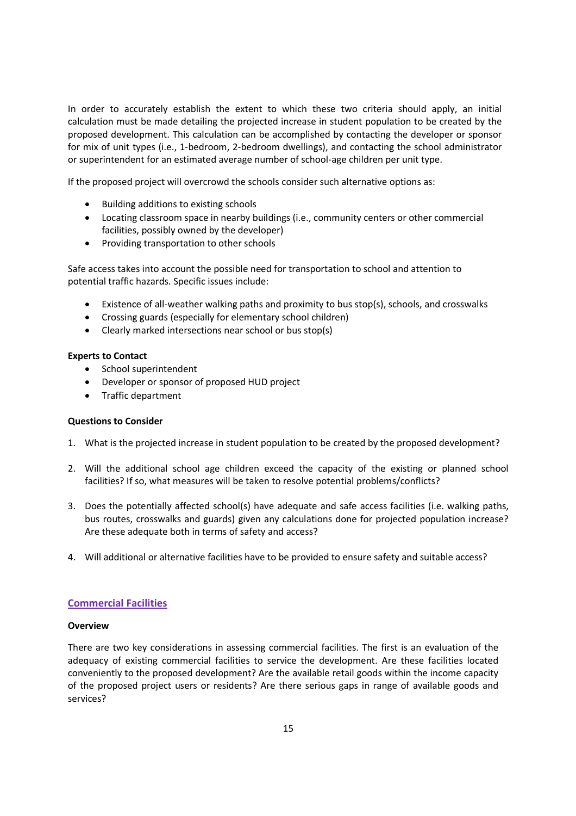In order to accurately establish the extent to which these two criteria should apply, an initial calculation must be made detailing the projected increase in student population to be created by the proposed development. This calculation can be accomplished by contacting the developer or sponsor for mix of unit types (i.e., 1-bedroom, 2-bedroom dwellings), and contacting the school administrator or superintendent for an estimated average number of school-age children per unit type.

If the proposed project will overcrowd the schools consider such alternative options as:

- Building additions to existing schools
- Locating classroom space in nearby buildings (i.e., community centers or other commercial facilities, possibly owned by the developer)
- Providing transportation to other schools

Safe access takes into account the possible need for transportation to school and attention to potential traffic hazards. Specific issues include:

- Existence of all-weather walking paths and proximity to bus stop(s), schools, and crosswalks
- Crossing guards (especially for elementary school children)
- Clearly marked intersections near school or bus stop(s)

# **Experts to Contact**

- School superintendent
- Developer or sponsor of proposed HUD project
- Traffic department

# **Questions to Consider**

- 1. What is the projected increase in student population to be created by the proposed development?
- 2. Will the additional school age children exceed the capacity of the existing or planned school facilities? If so, what measures will be taken to resolve potential problems/conflicts?
- 3. Does the potentially affected school(s) have adequate and safe access facilities (i.e. walking paths, bus routes, crosswalks and guards) given any calculations done for projected population increase? Are these adequate both in terms of safety and access?
- 4. Will additional or alternative facilities have to be provided to ensure safety and suitable access?

# **Commercial Facilities**

# **Overview**

There are two key considerations in assessing commercial facilities. The first is an evaluation of the adequacy of existing commercial facilities to service the development. Are these facilities located conveniently to the proposed development? Are the available retail goods within the income capacity of the proposed project users or residents? Are there serious gaps in range of available goods and services?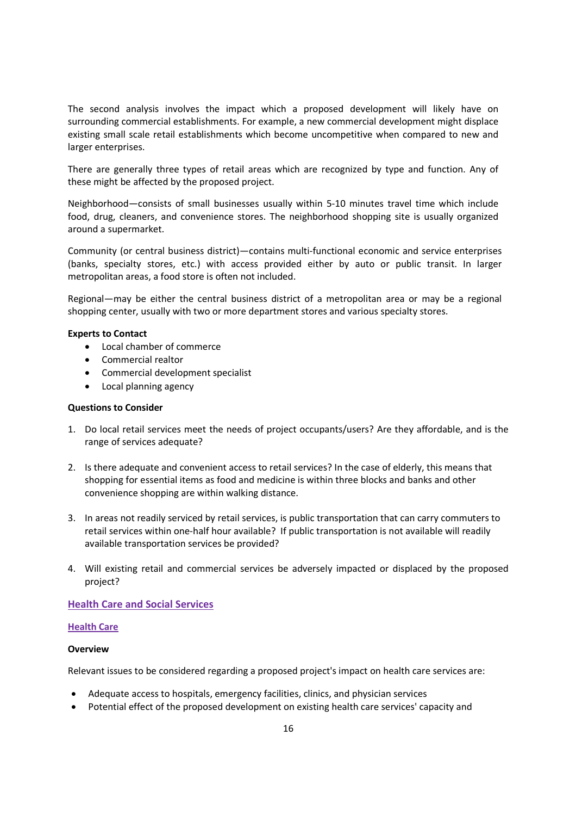The second analysis involves the impact which a proposed development will likely have on surrounding commercial establishments. For example, a new commercial development might displace existing small scale retail establishments which become uncompetitive when compared to new and larger enterprises.

There are generally three types of retail areas which are recognized by type and function. Any of these might be affected by the proposed project.

Neighborhood—consists of small businesses usually within 5-10 minutes travel time which include food, drug, cleaners, and convenience stores. The neighborhood shopping site is usually organized around a supermarket.

Community (or central business district)—contains multi-functional economic and service enterprises (banks, specialty stores, etc.) with access provided either by auto or public transit. In larger metropolitan areas, a food store is often not included.

Regional—may be either the central business district of a metropolitan area or may be a regional shopping center, usually with two or more department stores and various specialty stores.

### **Experts to Contact**

- Local chamber of commerce
- Commercial realtor
- Commercial development specialist
- Local planning agency

#### **Questions to Consider**

- 1. Do local retail services meet the needs of project occupants/users? Are they affordable, and is the range of services adequate?
- 2. Is there adequate and convenient access to retail services? In the case of elderly, this means that shopping for essential items as food and medicine is within three blocks and banks and other convenience shopping are within walking distance.
- 3. In areas not readily serviced by retail services, is public transportation that can carry commuters to retail services within one-half hour available? If public transportation is not available will readily available transportation services be provided?
- 4. Will existing retail and commercial services be adversely impacted or displaced by the proposed project?

### **Health Care and Social Services**

#### **Health Care**

#### **Overview**

Relevant issues to be considered regarding a proposed project's impact on health care services are:

- Adequate access to hospitals, emergency facilities, clinics, and physician services
- Potential effect of the proposed development on existing health care services' capacity and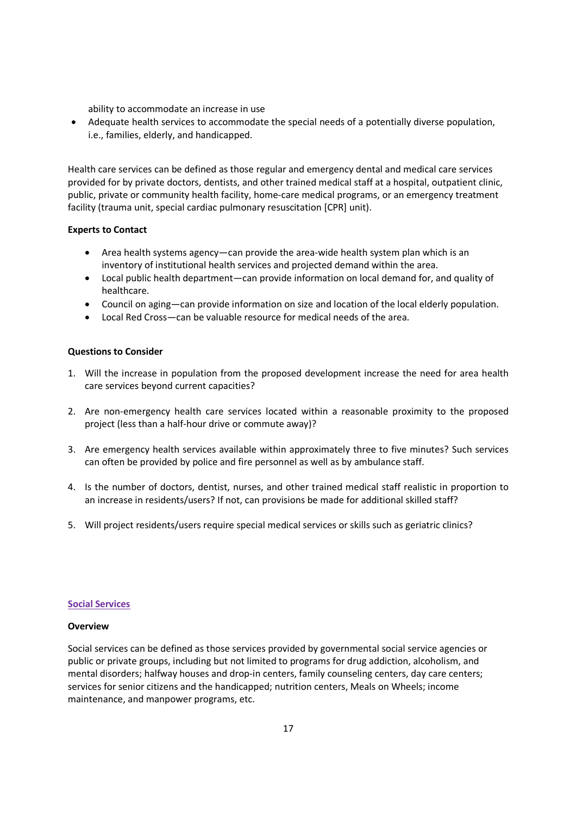ability to accommodate an increase in use

 Adequate health services to accommodate the special needs of a potentially diverse population, i.e., families, elderly, and handicapped.

Health care services can be defined as those regular and emergency dental and medical care services provided for by private doctors, dentists, and other trained medical staff at a hospital, outpatient clinic, public, private or community health facility, home-care medical programs, or an emergency treatment facility (trauma unit, special cardiac pulmonary resuscitation [CPR] unit).

# **Experts to Contact**

- Area health systems agency—can provide the area-wide health system plan which is an inventory of institutional health services and projected demand within the area.
- Local public health department—can provide information on local demand for, and quality of healthcare.
- Council on aging—can provide information on size and location of the local elderly population.
- Local Red Cross—can be valuable resource for medical needs of the area.

# **Questions to Consider**

- 1. Will the increase in population from the proposed development increase the need for area health care services beyond current capacities?
- 2. Are non-emergency health care services located within a reasonable proximity to the proposed project (less than a half-hour drive or commute away)?
- 3. Are emergency health services available within approximately three to five minutes? Such services can often be provided by police and fire personnel as well as by ambulance staff.
- 4. Is the number of doctors, dentist, nurses, and other trained medical staff realistic in proportion to an increase in residents/users? If not, can provisions be made for additional skilled staff?
- 5. Will project residents/users require special medical services or skills such as geriatric clinics?

# **Social Services**

# **Overview**

Social services can be defined as those services provided by governmental social service agencies or public or private groups, including but not limited to programs for drug addiction, alcoholism, and mental disorders; halfway houses and drop-in centers, family counseling centers, day care centers; services for senior citizens and the handicapped; nutrition centers, Meals on Wheels; income maintenance, and manpower programs, etc.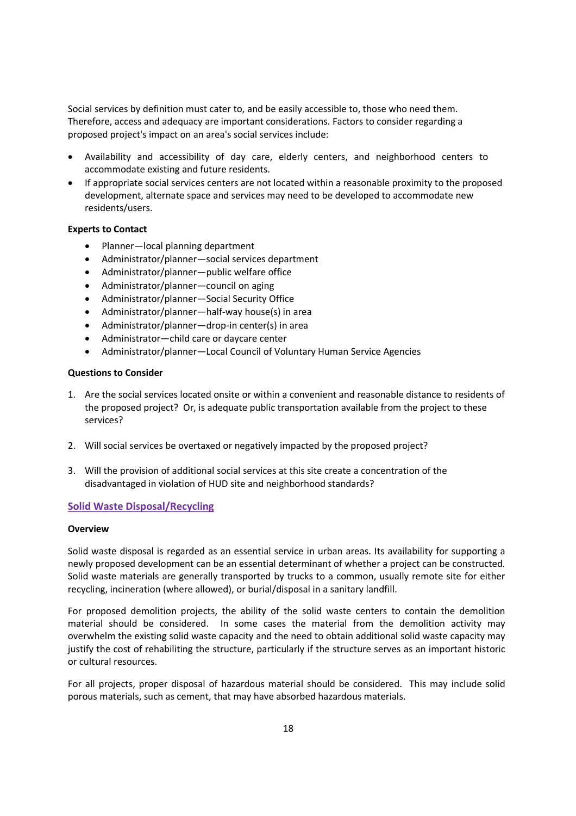Social services by definition must cater to, and be easily accessible to, those who need them. Therefore, access and adequacy are important considerations. Factors to consider regarding a proposed project's impact on an area's social services include:

- Availability and accessibility of day care, elderly centers, and neighborhood centers to accommodate existing and future residents.
- If appropriate social services centers are not located within a reasonable proximity to the proposed development, alternate space and services may need to be developed to accommodate new residents/users.

# **Experts to Contact**

- Planner—local planning department
- Administrator/planner—social services department
- Administrator/planner—public welfare office
- Administrator/planner—council on aging
- Administrator/planner—Social Security Office
- Administrator/planner—half-way house(s) in area
- Administrator/planner—drop-in center(s) in area
- Administrator—child care or daycare center
- Administrator/planner—Local Council of Voluntary Human Service Agencies

# **Questions to Consider**

- 1. Are the social services located onsite or within a convenient and reasonable distance to residents of the proposed project? Or, is adequate public transportation available from the project to these services?
- 2. Will social services be overtaxed or negatively impacted by the proposed project?
- 3. Will the provision of additional social services at this site create a concentration of the disadvantaged in violation of HUD site and neighborhood standards?

# **Solid Waste Disposal/Recycling**

# **Overview**

Solid waste disposal is regarded as an essential service in urban areas. Its availability for supporting a newly proposed development can be an essential determinant of whether a project can be constructed. Solid waste materials are generally transported by trucks to a common, usually remote site for either recycling, incineration (where allowed), or burial/disposal in a sanitary landfill.

For proposed demolition projects, the ability of the solid waste centers to contain the demolition material should be considered. In some cases the material from the demolition activity may overwhelm the existing solid waste capacity and the need to obtain additional solid waste capacity may justify the cost of rehabiliting the structure, particularly if the structure serves as an important historic or cultural resources.

For all projects, proper disposal of hazardous material should be considered. This may include solid porous materials, such as cement, that may have absorbed hazardous materials.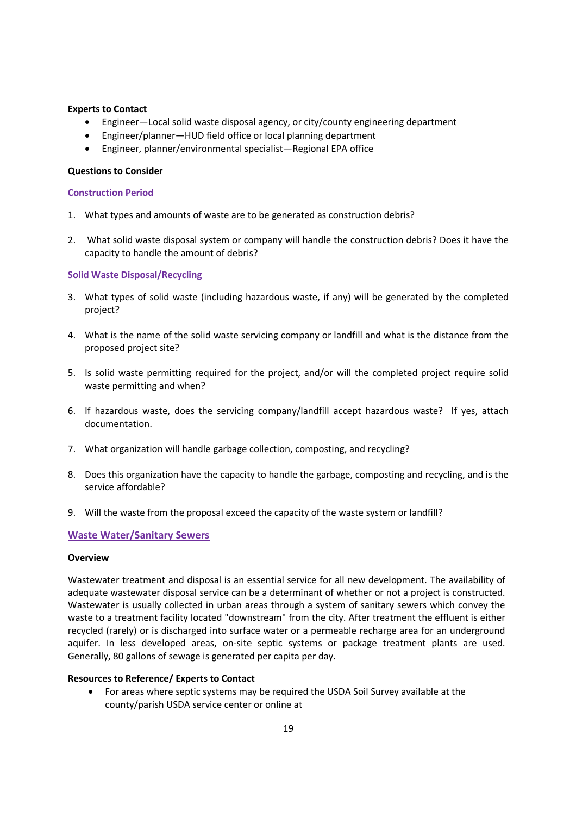# **Experts to Contact**

- Engineer—Local solid waste disposal agency, or city/county engineering department
- Engineer/planner—HUD field office or local planning department
- Engineer, planner/environmental specialist—Regional EPA office

# **Questions to Consider**

# **Construction Period**

- 1. What types and amounts of waste are to be generated as construction debris?
- 2. What solid waste disposal system or company will handle the construction debris? Does it have the capacity to handle the amount of debris?

# **Solid Waste Disposal/Recycling**

- 3. What types of solid waste (including hazardous waste, if any) will be generated by the completed project?
- 4. What is the name of the solid waste servicing company or landfill and what is the distance from the proposed project site?
- 5. Is solid waste permitting required for the project, and/or will the completed project require solid waste permitting and when?
- 6. If hazardous waste, does the servicing company/landfill accept hazardous waste? If yes, attach documentation.
- 7. What organization will handle garbage collection, composting, and recycling?
- 8. Does this organization have the capacity to handle the garbage, composting and recycling, and is the service affordable?
- 9. Will the waste from the proposal exceed the capacity of the waste system or landfill?

# **Waste Water/Sanitary Sewers**

# **Overview**

Wastewater treatment and disposal is an essential service for all new development. The availability of adequate wastewater disposal service can be a determinant of whether or not a project is constructed. Wastewater is usually collected in urban areas through a system of sanitary sewers which convey the waste to a treatment facility located "downstream" from the city. After treatment the effluent is either recycled (rarely) or is discharged into surface water or a permeable recharge area for an underground aquifer. In less developed areas, on-site septic systems or package treatment plants are used. Generally, 80 gallons of sewage is generated per capita per day.

# **Resources to Reference/ Experts to Contact**

 For areas where septic systems may be required the USDA Soil Survey available at the county/parish USDA service center or online at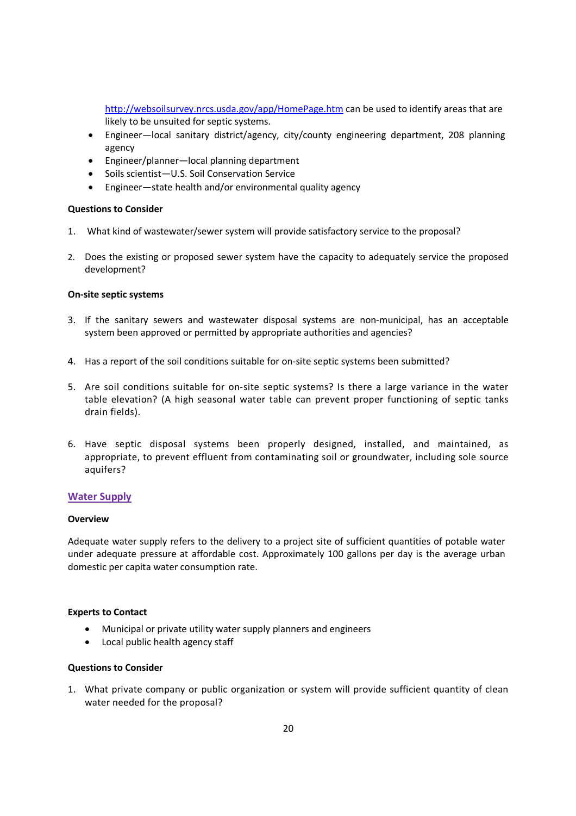http://websoilsurvey.nrcs.usda.gov/app/HomePage.htm can be used to identify areas that are likely to be unsuited for septic systems.

- Engineer—local sanitary district/agency, city/county engineering department, 208 planning agency
- Engineer/planner—local planning department
- Soils scientist—U.S. Soil Conservation Service
- Engineer—state health and/or environmental quality agency

### **Questions to Consider**

- 1. What kind of wastewater/sewer system will provide satisfactory service to the proposal?
- 2. Does the existing or proposed sewer system have the capacity to adequately service the proposed development?

# **On-site septic systems**

- 3. If the sanitary sewers and wastewater disposal systems are non-municipal, has an acceptable system been approved or permitted by appropriate authorities and agencies?
- 4. Has a report of the soil conditions suitable for on-site septic systems been submitted?
- 5. Are soil conditions suitable for on-site septic systems? Is there a large variance in the water table elevation? (A high seasonal water table can prevent proper functioning of septic tanks drain fields).
- 6. Have septic disposal systems been properly designed, installed, and maintained, as appropriate, to prevent effluent from contaminating soil or groundwater, including sole source aquifers?

# **Water Supply**

#### **Overview**

Adequate water supply refers to the delivery to a project site of sufficient quantities of potable water under adequate pressure at affordable cost. Approximately 100 gallons per day is the average urban domestic per capita water consumption rate.

#### **Experts to Contact**

- Municipal or private utility water supply planners and engineers
- Local public health agency staff

# **Questions to Consider**

1. What private company or public organization or system will provide sufficient quantity of clean water needed for the proposal?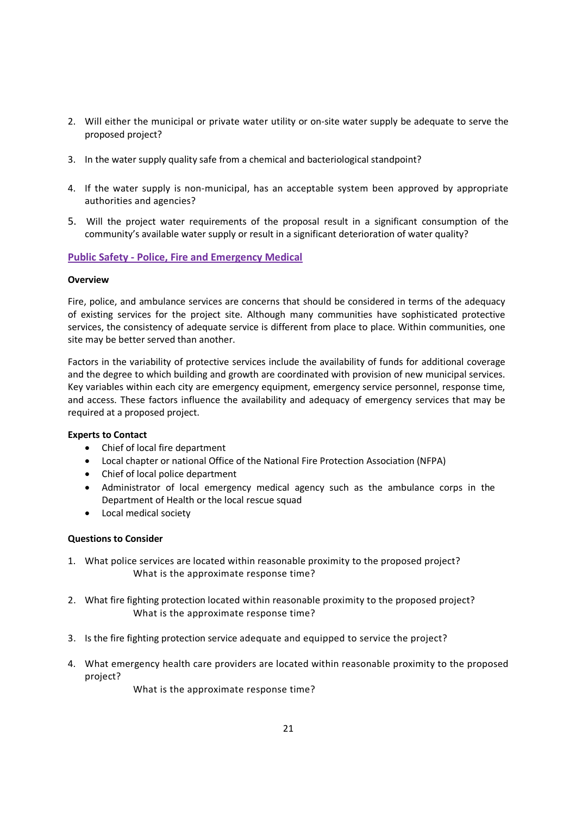- 2. Will either the municipal or private water utility or on-site water supply be adequate to serve the proposed project?
- 3. In the water supply quality safe from a chemical and bacteriological standpoint?
- 4. If the water supply is non-municipal, has an acceptable system been approved by appropriate authorities and agencies?
- 5. Will the project water requirements of the proposal result in a significant consumption of the community's available water supply or result in a significant deterioration of water quality?

# **Public Safety - Police, Fire and Emergency Medical**

# **Overview**

Fire, police, and ambulance services are concerns that should be considered in terms of the adequacy of existing services for the project site. Although many communities have sophisticated protective services, the consistency of adequate service is different from place to place. Within communities, one site may be better served than another.

Factors in the variability of protective services include the availability of funds for additional coverage and the degree to which building and growth are coordinated with provision of new municipal services. Key variables within each city are emergency equipment, emergency service personnel, response time, and access. These factors influence the availability and adequacy of emergency services that may be required at a proposed project.

# **Experts to Contact**

- Chief of local fire department
- Local chapter or national Office of the National Fire Protection Association (NFPA)
- Chief of local police department
- Administrator of local emergency medical agency such as the ambulance corps in the Department of Health or the local rescue squad
- Local medical society

# **Questions to Consider**

- 1. What police services are located within reasonable proximity to the proposed project? What is the approximate response time?
- 2. What fire fighting protection located within reasonable proximity to the proposed project? What is the approximate response time?
- 3. Is the fire fighting protection service adequate and equipped to service the project?
- 4. What emergency health care providers are located within reasonable proximity to the proposed project?

What is the approximate response time?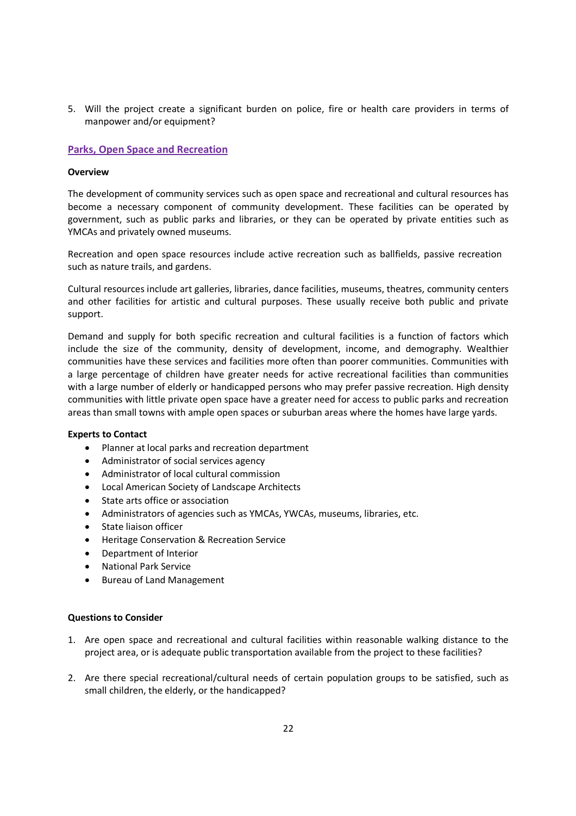5. Will the project create a significant burden on police, fire or health care providers in terms of manpower and/or equipment?

# **Parks, Open Space and Recreation**

# **Overview**

The development of community services such as open space and recreational and cultural resources has become a necessary component of community development. These facilities can be operated by government, such as public parks and libraries, or they can be operated by private entities such as YMCAs and privately owned museums.

Recreation and open space resources include active recreation such as ballfields, passive recreation such as nature trails, and gardens.

Cultural resources include art galleries, libraries, dance facilities, museums, theatres, community centers and other facilities for artistic and cultural purposes. These usually receive both public and private support.

Demand and supply for both specific recreation and cultural facilities is a function of factors which include the size of the community, density of development, income, and demography. Wealthier communities have these services and facilities more often than poorer communities. Communities with a large percentage of children have greater needs for active recreational facilities than communities with a large number of elderly or handicapped persons who may prefer passive recreation. High density communities with little private open space have a greater need for access to public parks and recreation areas than small towns with ample open spaces or suburban areas where the homes have large yards.

# **Experts to Contact**

- Planner at local parks and recreation department
- Administrator of social services agency
- Administrator of local cultural commission
- Local American Society of Landscape Architects
- State arts office or association
- Administrators of agencies such as YMCAs, YWCAs, museums, libraries, etc.
- State liaison officer
- **•** Heritage Conservation & Recreation Service
- Department of Interior
- National Park Service
- Bureau of Land Management

- 1. Are open space and recreational and cultural facilities within reasonable walking distance to the project area, or is adequate public transportation available from the project to these facilities?
- 2. Are there special recreational/cultural needs of certain population groups to be satisfied, such as small children, the elderly, or the handicapped?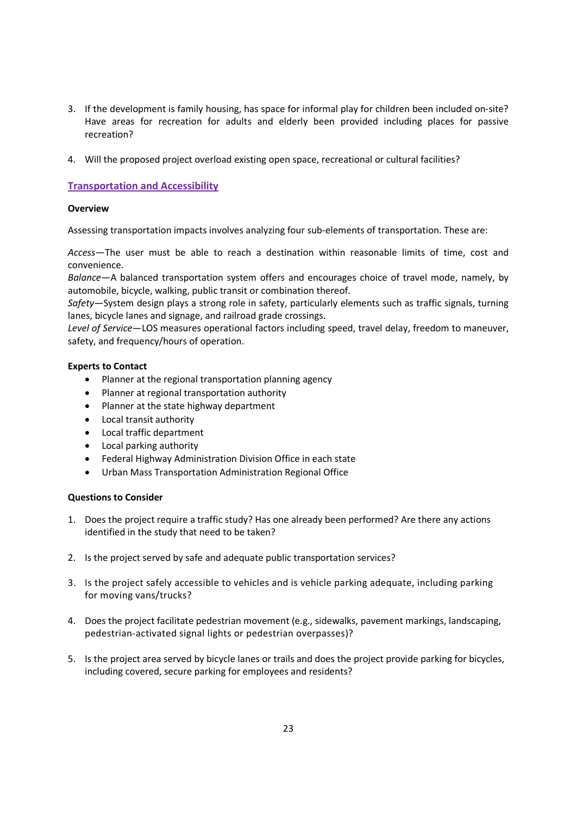- 3. If the development is family housing, has space for informal play for children been included on-site? Have areas for recreation for adults and elderly been provided including places for passive recreation?
- 4. Will the proposed project overload existing open space, recreational or cultural facilities?

# **Transportation and Accessibility**

# **Overview**

Assessing transportation impacts involves analyzing four sub-elements of transportation. These are:

*Access*—The user must be able to reach a destination within reasonable limits of time, cost and convenience.

*Balance*—A balanced transportation system offers and encourages choice of travel mode, namely, by automobile, bicycle, walking, public transit or combination thereof.

*Safety*—System design plays a strong role in safety, particularly elements such as traffic signals, turning lanes, bicycle lanes and signage, and railroad grade crossings.

*Level of Service*—LOS measures operational factors including speed, travel delay, freedom to maneuver, safety, and frequency/hours of operation.

# **Experts to Contact**

- Planner at the regional transportation planning agency
- Planner at regional transportation authority
- Planner at the state highway department
- Local transit authority
- Local traffic department
- Local parking authority
- Federal Highway Administration Division Office in each state
- Urban Mass Transportation Administration Regional Office

- 1. Does the project require a traffic study? Has one already been performed? Are there any actions identified in the study that need to be taken?
- 2. Is the project served by safe and adequate public transportation services?
- 3. Is the project safely accessible to vehicles and is vehicle parking adequate, including parking for moving vans/trucks?
- 4. Does the project facilitate pedestrian movement (e.g., sidewalks, pavement markings, landscaping, pedestrian-activated signal lights or pedestrian overpasses)?
- 5. Is the project area served by bicycle lanes or trails and does the project provide parking for bicycles, including covered, secure parking for employees and residents?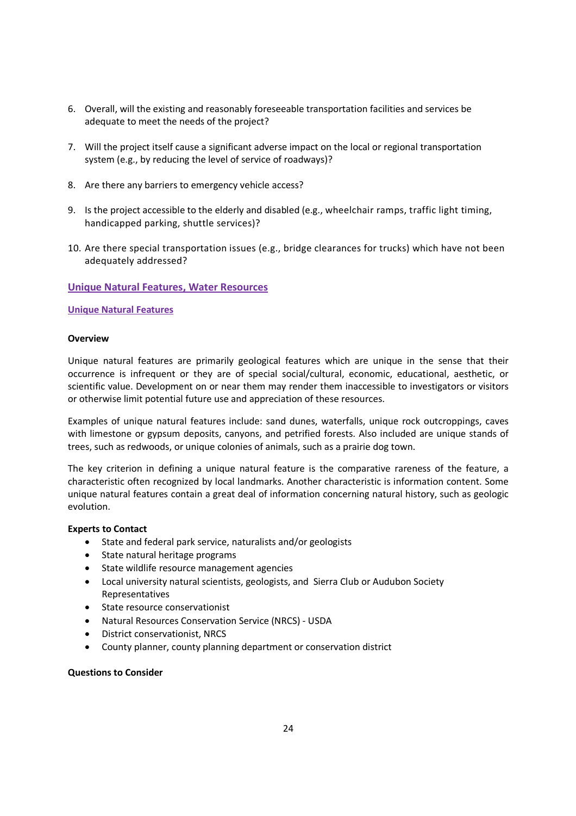- 6. Overall, will the existing and reasonably foreseeable transportation facilities and services be adequate to meet the needs of the project?
- 7. Will the project itself cause a significant adverse impact on the local or regional transportation system (e.g., by reducing the level of service of roadways)?
- 8. Are there any barriers to emergency vehicle access?
- 9. Is the project accessible to the elderly and disabled (e.g., wheelchair ramps, traffic light timing, handicapped parking, shuttle services)?
- 10. Are there special transportation issues (e.g., bridge clearances for trucks) which have not been adequately addressed?

# **Unique Natural Features, Water Resources**

# **Unique Natural Features**

### **Overview**

Unique natural features are primarily geological features which are unique in the sense that their occurrence is infrequent or they are of special social/cultural, economic, educational, aesthetic, or scientific value. Development on or near them may render them inaccessible to investigators or visitors or otherwise limit potential future use and appreciation of these resources.

Examples of unique natural features include: sand dunes, waterfalls, unique rock outcroppings, caves with limestone or gypsum deposits, canyons, and petrified forests. Also included are unique stands of trees, such as redwoods, or unique colonies of animals, such as a prairie dog town.

The key criterion in defining a unique natural feature is the comparative rareness of the feature, a characteristic often recognized by local landmarks. Another characteristic is information content. Some unique natural features contain a great deal of information concerning natural history, such as geologic evolution.

# **Experts to Contact**

- State and federal park service, naturalists and/or geologists
- State natural heritage programs
- State wildlife resource management agencies
- Local university natural scientists, geologists, and Sierra Club or Audubon Society Representatives
- State resource conservationist
- Natural Resources Conservation Service (NRCS) USDA
- District conservationist, NRCS
- County planner, county planning department or conservation district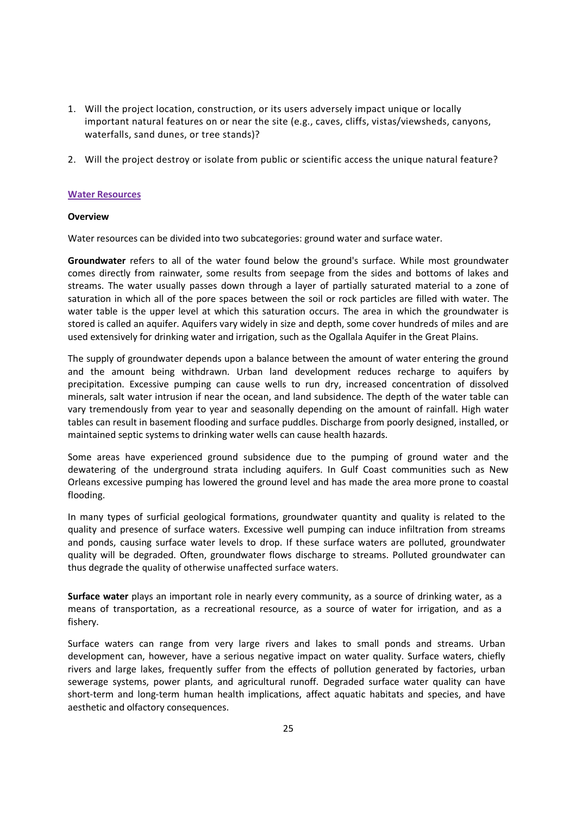- 1. Will the project location, construction, or its users adversely impact unique or locally important natural features on or near the site (e.g., caves, cliffs, vistas/viewsheds, canyons, waterfalls, sand dunes, or tree stands)?
- 2. Will the project destroy or isolate from public or scientific access the unique natural feature?

# **Water Resources**

### **Overview**

Water resources can be divided into two subcategories: ground water and surface water.

**Groundwater** refers to all of the water found below the ground's surface. While most groundwater comes directly from rainwater, some results from seepage from the sides and bottoms of lakes and streams. The water usually passes down through a layer of partially saturated material to a zone of saturation in which all of the pore spaces between the soil or rock particles are filled with water. The water table is the upper level at which this saturation occurs. The area in which the groundwater is stored is called an aquifer. Aquifers vary widely in size and depth, some cover hundreds of miles and are used extensively for drinking water and irrigation, such as the Ogallala Aquifer in the Great Plains.

The supply of groundwater depends upon a balance between the amount of water entering the ground and the amount being withdrawn. Urban land development reduces recharge to aquifers by precipitation. Excessive pumping can cause wells to run dry, increased concentration of dissolved minerals, salt water intrusion if near the ocean, and land subsidence. The depth of the water table can vary tremendously from year to year and seasonally depending on the amount of rainfall. High water tables can result in basement flooding and surface puddles. Discharge from poorly designed, installed, or maintained septic systems to drinking water wells can cause health hazards.

Some areas have experienced ground subsidence due to the pumping of ground water and the dewatering of the underground strata including aquifers. In Gulf Coast communities such as New Orleans excessive pumping has lowered the ground level and has made the area more prone to coastal flooding.

In many types of surficial geological formations, groundwater quantity and quality is related to the quality and presence of surface waters. Excessive well pumping can induce infiltration from streams and ponds, causing surface water levels to drop. If these surface waters are polluted, groundwater quality will be degraded. Often, groundwater flows discharge to streams. Polluted groundwater can thus degrade the quality of otherwise unaffected surface waters.

**Surface water** plays an important role in nearly every community, as a source of drinking water, as a means of transportation, as a recreational resource, as a source of water for irrigation, and as a fishery.

Surface waters can range from very large rivers and lakes to small ponds and streams. Urban development can, however, have a serious negative impact on water quality. Surface waters, chiefly rivers and large lakes, frequently suffer from the effects of pollution generated by factories, urban sewerage systems, power plants, and agricultural runoff. Degraded surface water quality can have short-term and long-term human health implications, affect aquatic habitats and species, and have aesthetic and olfactory consequences.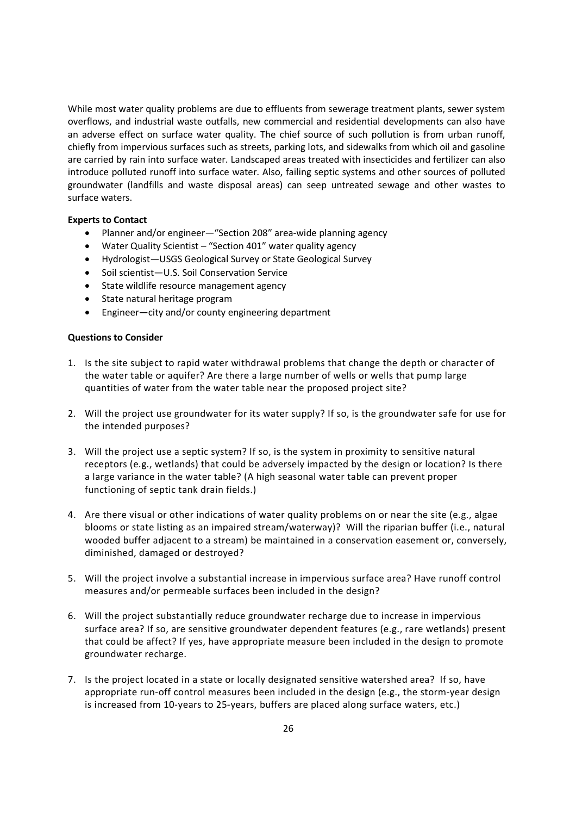While most water quality problems are due to effluents from sewerage treatment plants, sewer system overflows, and industrial waste outfalls, new commercial and residential developments can also have an adverse effect on surface water quality. The chief source of such pollution is from urban runoff, chiefly from impervious surfaces such as streets, parking lots, and sidewalks from which oil and gasoline are carried by rain into surface water. Landscaped areas treated with insecticides and fertilizer can also introduce polluted runoff into surface water. Also, failing septic systems and other sources of polluted groundwater (landfills and waste disposal areas) can seep untreated sewage and other wastes to surface waters.

### **Experts to Contact**

- Planner and/or engineer—"Section 208" area-wide planning agency
- Water Quality Scientist "Section 401" water quality agency
- Hydrologist—USGS Geological Survey or State Geological Survey
- Soil scientist-U.S. Soil Conservation Service
- State wildlife resource management agency
- State natural heritage program
- Engineer—city and/or county engineering department

- 1. Is the site subject to rapid water withdrawal problems that change the depth or character of the water table or aquifer? Are there a large number of wells or wells that pump large quantities of water from the water table near the proposed project site?
- 2. Will the project use groundwater for its water supply? If so, is the groundwater safe for use for the intended purposes?
- 3. Will the project use a septic system? If so, is the system in proximity to sensitive natural receptors (e.g., wetlands) that could be adversely impacted by the design or location? Is there a large variance in the water table? (A high seasonal water table can prevent proper functioning of septic tank drain fields.)
- 4. Are there visual or other indications of water quality problems on or near the site (e.g., algae blooms or state listing as an impaired stream/waterway)? Will the riparian buffer (i.e., natural wooded buffer adjacent to a stream) be maintained in a conservation easement or, conversely, diminished, damaged or destroyed?
- 5. Will the project involve a substantial increase in impervious surface area? Have runoff control measures and/or permeable surfaces been included in the design?
- 6. Will the project substantially reduce groundwater recharge due to increase in impervious surface area? If so, are sensitive groundwater dependent features (e.g., rare wetlands) present that could be affect? If yes, have appropriate measure been included in the design to promote groundwater recharge.
- 7. Is the project located in a state or locally designated sensitive watershed area? If so, have appropriate run-off control measures been included in the design (e.g., the storm-year design is increased from 10-years to 25-years, buffers are placed along surface waters, etc.)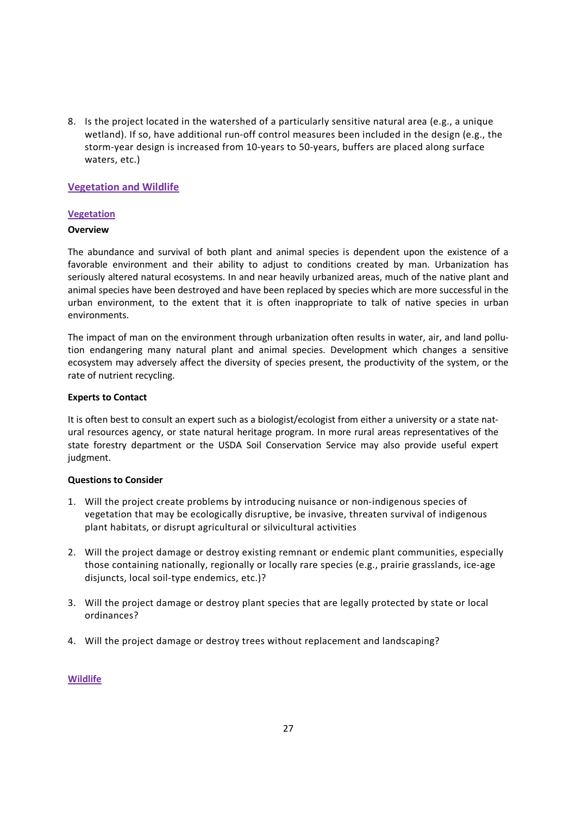8. Is the project located in the watershed of a particularly sensitive natural area (e.g., a unique wetland). If so, have additional run-off control measures been included in the design (e.g., the storm-year design is increased from 10-years to 50-years, buffers are placed along surface waters, etc.)

# **Vegetation and Wildlife**

# **Vegetation**

# **Overview**

The abundance and survival of both plant and animal species is dependent upon the existence of a favorable environment and their ability to adjust to conditions created by man. Urbanization has seriously altered natural ecosystems. In and near heavily urbanized areas, much of the native plant and animal species have been destroyed and have been replaced by species which are more successful in the urban environment, to the extent that it is often inappropriate to talk of native species in urban environments.

The impact of man on the environment through urbanization often results in water, air, and land pollution endangering many natural plant and animal species. Development which changes a sensitive ecosystem may adversely affect the diversity of species present, the productivity of the system, or the rate of nutrient recycling.

# **Experts to Contact**

It is often best to consult an expert such as a biologist/ecologist from either a university or a state natural resources agency, or state natural heritage program. In more rural areas representatives of the state forestry department or the USDA Soil Conservation Service may also provide useful expert judgment.

# **Questions to Consider**

- 1. Will the project create problems by introducing nuisance or non-indigenous species of vegetation that may be ecologically disruptive, be invasive, threaten survival of indigenous plant habitats, or disrupt agricultural or silvicultural activities
- 2. Will the project damage or destroy existing remnant or endemic plant communities, especially those containing nationally, regionally or locally rare species (e.g., prairie grasslands, ice-age disjuncts, local soil-type endemics, etc.)?
- 3. Will the project damage or destroy plant species that are legally protected by state or local ordinances?
- 4. Will the project damage or destroy trees without replacement and landscaping?

# **Wildlife**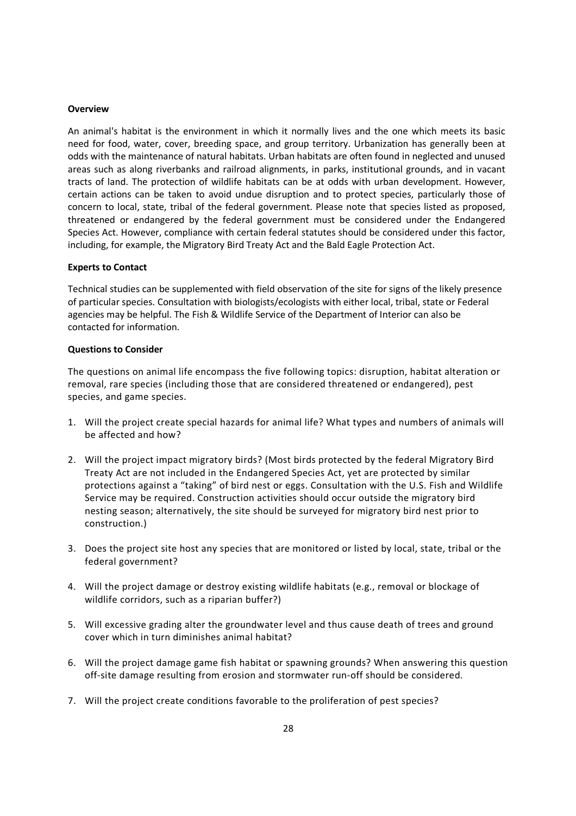#### **Overview**

An animal's habitat is the environment in which it normally lives and the one which meets its basic need for food, water, cover, breeding space, and group territory. Urbanization has generally been at odds with the maintenance of natural habitats. Urban habitats are often found in neglected and unused areas such as along riverbanks and railroad alignments, in parks, institutional grounds, and in vacant tracts of land. The protection of wildlife habitats can be at odds with urban development. However, certain actions can be taken to avoid undue disruption and to protect species, particularly those of concern to local, state, tribal of the federal government. Please note that species listed as proposed, threatened or endangered by the federal government must be considered under the Endangered Species Act. However, compliance with certain federal statutes should be considered under this factor, including, for example, the Migratory Bird Treaty Act and the Bald Eagle Protection Act.

#### **Experts to Contact**

Technical studies can be supplemented with field observation of the site for signs of the likely presence of particular species. Consultation with biologists/ecologists with either local, tribal, state or Federal agencies may be helpful. The Fish & Wildlife Service of the Department of Interior can also be contacted for information.

#### **Questions to Consider**

The questions on animal life encompass the five following topics: disruption, habitat alteration or removal, rare species (including those that are considered threatened or endangered), pest species, and game species.

- 1. Will the project create special hazards for animal life? What types and numbers of animals will be affected and how?
- 2. Will the project impact migratory birds? (Most birds protected by the federal Migratory Bird Treaty Act are not included in the Endangered Species Act, yet are protected by similar protections against a "taking" of bird nest or eggs. Consultation with the U.S. Fish and Wildlife Service may be required. Construction activities should occur outside the migratory bird nesting season; alternatively, the site should be surveyed for migratory bird nest prior to construction.)
- 3. Does the project site host any species that are monitored or listed by local, state, tribal or the federal government?
- 4. Will the project damage or destroy existing wildlife habitats (e.g., removal or blockage of wildlife corridors, such as a riparian buffer?)
- 5. Will excessive grading alter the groundwater level and thus cause death of trees and ground cover which in turn diminishes animal habitat?
- 6. Will the project damage game fish habitat or spawning grounds? When answering this question off-site damage resulting from erosion and stormwater run-off should be considered.
- 7. Will the project create conditions favorable to the proliferation of pest species?